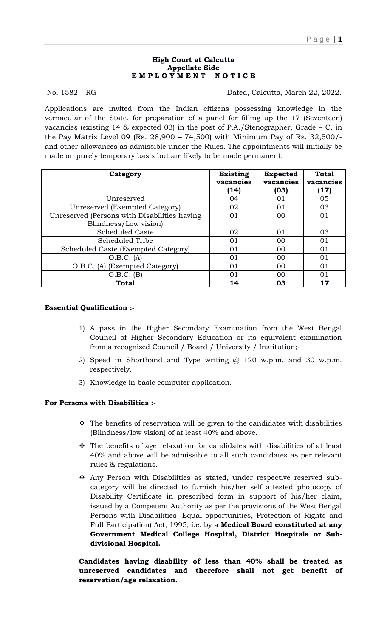### **High Court at Calcutta Appellate Side E M P L O Y M E N T N O T I C E**

No. 1582 – RG Dated, Calcutta, March 22, 2022.

Applications are invited from the Indian citizens possessing knowledge in the vernacular of the State, for preparation of a panel for filling up the 17 (Seventeen) vacancies (existing 14 & expected 03) in the post of P.A./Stenographer, Grade – C, in the Pay Matrix Level 09 (Rs. 28,900 – 74,500) with Minimum Pay of Rs. 32,500/ and other allowances as admissible under the Rules. The appointments will initially be made on purely temporary basis but are likely to be made permanent.

| Category                                                              | <b>Existing</b><br>vacancies<br>(14) | <b>Expected</b><br>vacancies<br>(03) | <b>Total</b><br>vacancies<br>(17) |
|-----------------------------------------------------------------------|--------------------------------------|--------------------------------------|-----------------------------------|
| Unreserved                                                            | 04                                   | 01                                   | 05                                |
| Unreserved (Exempted Category)                                        | 02                                   | $\Omega$ 1                           | 03                                |
| Unreserved (Persons with Disabilities having<br>Blindness/Low vision) | 01                                   | 00                                   | 01                                |
| <b>Scheduled Caste</b>                                                | 02                                   | $\Omega$ 1                           | 03                                |
| Scheduled Tribe                                                       | 01                                   | 00                                   | 01                                |
| Scheduled Caste (Exempted Category)                                   | 01                                   | 0 <sup>0</sup>                       | 01                                |
| O.B.C. (A)                                                            | 01                                   | 0 <sup>0</sup>                       | 01                                |
| O.B.C. (A) (Exempted Category)                                        | 01                                   | 0 <sup>0</sup>                       | 01                                |
| $O.B.C.$ (B)                                                          | 01                                   | 00                                   | 01                                |
| <b>Total</b>                                                          | 14                                   | 03                                   | 17                                |

## **Essential Qualification :-**

- 1) A pass in the Higher Secondary Examination from the West Bengal Council of Higher Secondary Education or its equivalent examination from a recognized Council / Board / University / Institution;
- 2) Speed in Shorthand and Type writing @ 120 w.p.m. and 30 w.p.m. respectively.
- 3) Knowledge in basic computer application.

# **For Persons with Disabilities :-**

- $\hat{P}$  The benefits of reservation will be given to the candidates with disabilities (Blindness/low vision) of at least 40% and above.
- $\hat{\mathbf{v}}$  The benefits of age relaxation for candidates with disabilities of at least 40% and above will be admissible to all such candidates as per relevant rules & regulations.
- Any Person with Disabilities as stated, under respective reserved subcategory will be directed to furnish his/her self attested photocopy of Disability Certificate in prescribed form in support of his/her claim, issued by a Competent Authority as per the provisions of the West Bengal Persons with Disabilities (Equal opportunities, Protection of Rights and Full Participation) Act, 1995, i.e. by a **Medical Board constituted at any Government Medical College Hospital, District Hospitals or Subdivisional Hospital.**

**Candidates having disability of less than 40% shall be treated as unreserved candidates and therefore shall not get benefit of reservation/age relaxation.**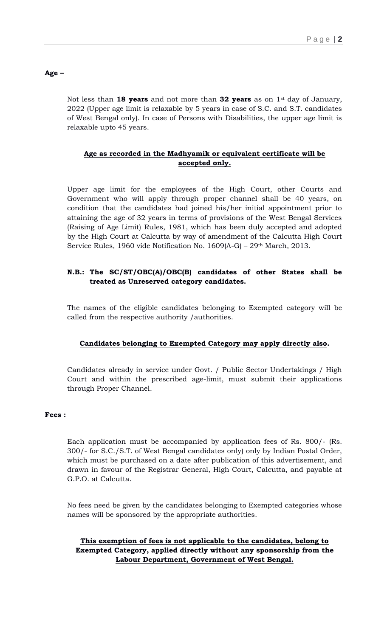## **Age –**

Not less than **18 years** and not more than **32 years** as on 1st day of January, 2022 (Upper age limit is relaxable by 5 years in case of S.C. and S.T. candidates of West Bengal only). In case of Persons with Disabilities, the upper age limit is relaxable upto 45 years.

## **Age as recorded in the Madhyamik or equivalent certificate will be accepted only.**

Upper age limit for the employees of the High Court, other Courts and Government who will apply through proper channel shall be 40 years, on condition that the candidates had joined his/her initial appointment prior to attaining the age of 32 years in terms of provisions of the West Bengal Services (Raising of Age Limit) Rules, 1981, which has been duly accepted and adopted by the High Court at Calcutta by way of amendment of the Calcutta High Court Service Rules, 1960 vide Notification No. 1609(A-G) – 29th March, 2013.

## **N.B.: The SC/ST/OBC(A)/OBC(B) candidates of other States shall be treated as Unreserved category candidates.**

The names of the eligible candidates belonging to Exempted category will be called from the respective authority /authorities.

## **Candidates belonging to Exempted Category may apply directly also.**

Candidates already in service under Govt. / Public Sector Undertakings / High Court and within the prescribed age-limit, must submit their applications through Proper Channel.

## **Fees :**

Each application must be accompanied by application fees of Rs. 800/- (Rs. 300/- for S.C./S.T. of West Bengal candidates only) only by Indian Postal Order, which must be purchased on a date after publication of this advertisement, and drawn in favour of the Registrar General, High Court, Calcutta, and payable at G.P.O. at Calcutta.

No fees need be given by the candidates belonging to Exempted categories whose names will be sponsored by the appropriate authorities.

# **This exemption of fees is not applicable to the candidates, belong to Exempted Category, applied directly without any sponsorship from the Labour Department, Government of West Bengal.**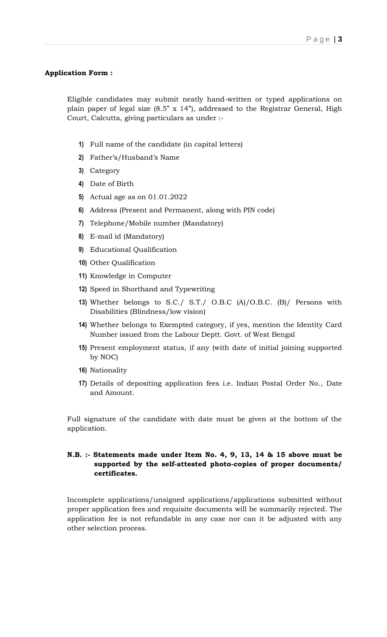### **Application Form :**

Eligible candidates may submit neatly hand-written or typed applications on plain paper of legal size (8.5" x 14"), addressed to the Registrar General, High Court, Calcutta, giving particulars as under :-

- **1)** Full name of the candidate (in capital letters)
- **2)** Father's/Husband's Name
- **3)** Category
- **4)** Date of Birth
- **5)** Actual age as on 01.01.2022
- **6)** Address (Present and Permanent, along with PIN code)
- **7)** Telephone/Mobile number (Mandatory)
- **8)** E-mail id (Mandatory)
- **9)** Educational Qualification
- **10)** Other Qualification
- **11)** Knowledge in Computer
- **12)** Speed in Shorthand and Typewriting
- **13)** Whether belongs to S.C./ S.T./ O.B.C (A)/O.B.C. (B)/ Persons with Disabilities (Blindness/low vision)
- **14)** Whether belongs to Exempted category, if yes, mention the Identity Card Number issued from the Labour Deptt. Govt. of West Bengal
- **15)** Present employment status, if any (with date of initial joining supported by NOC)
- **16)** Nationality
- **17)** Details of depositing application fees i.e. Indian Postal Order No., Date and Amount.

Full signature of the candidate with date must be given at the bottom of the application.

## **N.B. :- Statements made under Item No. 4, 9, 13, 14 & 15 above must be supported by the self-attested photo-copies of proper documents/ certificates.**

Incomplete applications/unsigned applications/applications submitted without proper application fees and requisite documents will be summarily rejected. The application fee is not refundable in any case nor can it be adjusted with any other selection process.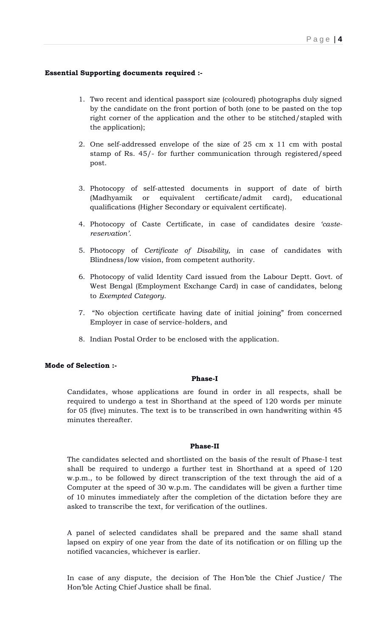## **Essential Supporting documents required :-**

- 1. Two recent and identical passport size (coloured) photographs duly signed by the candidate on the front portion of both (one to be pasted on the top right corner of the application and the other to be stitched/stapled with the application);
- 2. One self-addressed envelope of the size of 25 cm x 11 cm with postal stamp of Rs. 45/- for further communication through registered/speed post.
- 3. Photocopy of self-attested documents in support of date of birth (Madhyamik or equivalent certificate/admit card), educational qualifications (Higher Secondary or equivalent certificate).
- 4. Photocopy of Caste Certificate, in case of candidates desire *'castereservation'*.
- 5. Photocopy of *Certificate of Disability,* in case of candidates with Blindness/low vision, from competent authority.
- 6. Photocopy of valid Identity Card issued from the Labour Deptt. Govt. of West Bengal (Employment Exchange Card) in case of candidates, belong to *Exempted Category*.
- 7. "No objection certificate having date of initial joining" from concerned Employer in case of service-holders, and
- 8. Indian Postal Order to be enclosed with the application.

## **Mode of Selection :-**

### **Phase-I**

Candidates, whose applications are found in order in all respects, shall be required to undergo a test in Shorthand at the speed of 120 words per minute for 05 (five) minutes. The text is to be transcribed in own handwriting within 45 minutes thereafter.

### **Phase-II**

The candidates selected and shortlisted on the basis of the result of Phase-I test shall be required to undergo a further test in Shorthand at a speed of 120 w.p.m., to be followed by direct transcription of the text through the aid of a Computer at the speed of 30 w.p.m. The candidates will be given a further time of 10 minutes immediately after the completion of the dictation before they are asked to transcribe the text, for verification of the outlines.

A panel of selected candidates shall be prepared and the same shall stand lapsed on expiry of one year from the date of its notification or on filling up the notified vacancies, whichever is earlier.

In case of any dispute, the decision of The Hon'ble the Chief Justice/ The Hon'ble Acting Chief Justice shall be final.